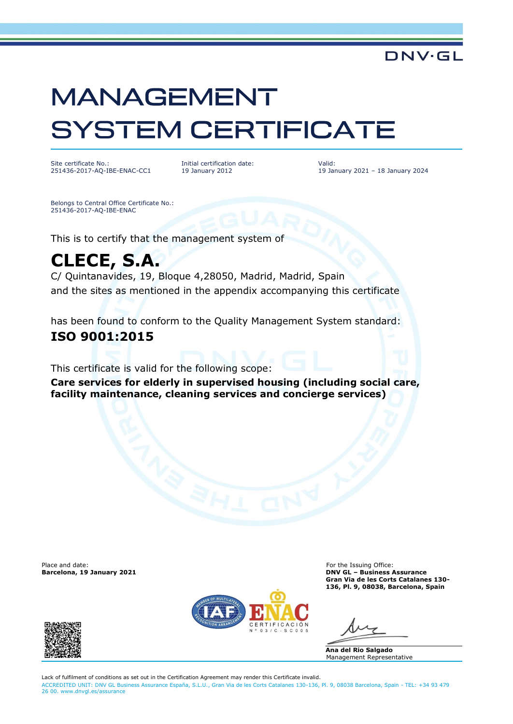# **MANAGEMENT SYSTEM CERTIFICATE**

Site certificate No.: 251436-2017-AQ-IBE-ENAC-CC1 Initial certification date: 19 January 2012

Valid: 19 January 2021 – 18 January 2024

DNV·GL

Belongs to Central Office Certificate No.: 251436-2017-AQ-IBE-ENAC

This is to certify that the management system of

## **CLECE, S.A.**

C/ Quintanavides, 19, Bloque 4,28050, Madrid, Madrid, Spain and the sites as mentioned in the appendix accompanying this certificate

has been found to conform to the Quality Management System standard:

### **ISO 9001:2015**

This certificate is valid for the following scope:

**Care services for elderly in supervised housing (including social care, facility maintenance, cleaning services and concierge services)**

Place and date: For the Issuing Office: For the Issuing Office: For the Issuing Office: For the Issuing Office:  $\blacksquare$ 



**Barcelona, 19 January 2021 DNV GL – Business Assurance Gran Via de les Corts Catalanes 130- 136, Pl. 9, 08038, Barcelona, Spain**

**Ana del Rio Salgado** Management Representative

Lack of fulfilment of conditions as set out in the Certification Agreement may render this Certificate invalid. ACCREDITED UNIT: DNV GL Business Assurance España, S.L.U., Gran Via de les Corts Catalanes 130-136, Pl. 9, 08038 Barcelona, Spain - TEL: +34 93 479 26 00. [www.dnvgl.es/assurance](http://www.dnvgl.es/assurance)